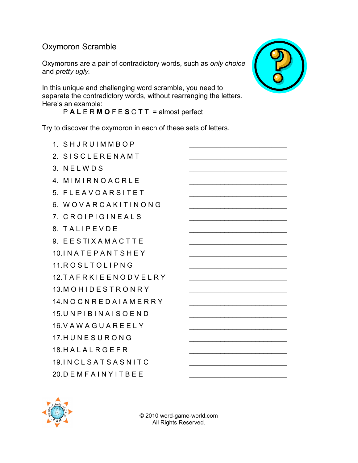## Oxymoron Scramble

Oxymorons are a pair of contradictory words, such as only choice and pretty ugly.

In this unique and challenging word scramble, you need to separate the contradictory words, without rearranging the letters. Here's an example:

P A L E R M O F E S C T T = almost perfect

Try to discover the oxymoron in each of these sets of letters.